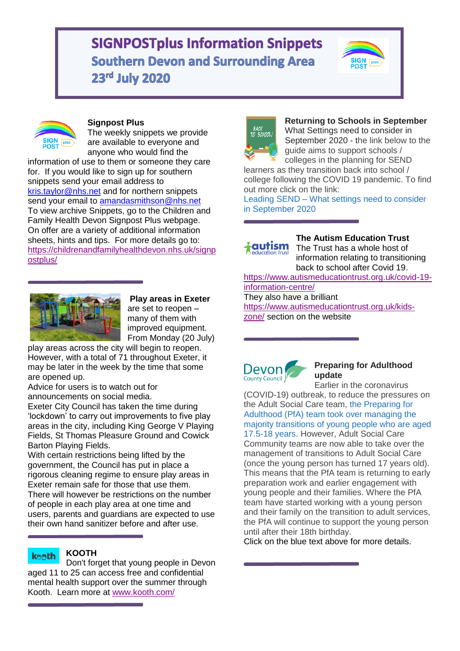# **SIGNPOSTplus Information Snippets Southern Devon and Surrounding Area** 23rd July 2020





# **Signpost Plus**

The weekly snippets we provide are available to everyone and anyone who would find the

information of use to them or someone they care for. If you would like to sign up for southern snippets send your email address to [kris.taylor@nhs.net](mailto:kris.taylor@nhs.net) and for northern snippets send your email to amandasmithson@nhs.net To view archive Snippets, go to the Children and Family Health Devon Signpost Plus webpage. On offer are a variety of additional information sheets, hints and tips. For more details go to: [https://childrenandfamilyhealthdevon.nhs.uk/signp](https://childrenandfamilyhealthdevon.nhs.uk/signpostplus/) [ostplus/](https://childrenandfamilyhealthdevon.nhs.uk/signpostplus/)



**Play areas in Exeter** are set to reopen – many of them with improved equipment. From Monday (20 July)

play areas across the city will begin to reopen. However, with a total of 71 throughout Exeter, it may be later in the week by the time that some are opened up.

Advice for users is to watch out for announcements on social media.

Exeter City Council has taken the time during 'lockdown' to carry out improvements to five play areas in the city, including King George V Playing Fields, St Thomas Pleasure Ground and Cowick Barton Playing Fields.

With certain restrictions being lifted by the government, the Council has put in place a rigorous cleaning regime to ensure play areas in Exeter remain safe for those that use them. There will however be restrictions on the number of people in each play area at one time and users, parents and guardians are expected to use their own hand sanitizer before and after use.

#### **KOOTH keeth**

Don't forget that young people in Devon aged 11 to 25 can access free and confidential mental health support over the summer through Kooth. Learn more at [www.kooth.com/](http://www.kooth.com/)



**Returning to Schools in September** What Settings need to consider in September 2020 - the link below to the guide aims to support schools / colleges in the planning for SEND

learners as they transition back into school / college following the COVID 19 pandemic. To find out more click on the link:

Leading SEND – [What settings need to consider](https://devoncc.sharepoint.com/:b:/s/PublicDocs/Education/EZl8DNWAktFDoc7sNXhgPdEB00n-_YAFnluehhsnZ-neeA?e=gXb6Cx)  [in September 2020](https://devoncc.sharepoint.com/:b:/s/PublicDocs/Education/EZl8DNWAktFDoc7sNXhgPdEB00n-_YAFnluehhsnZ-neeA?e=gXb6Cx)



**The Autism Education Trust** The Trust has a whole host of

information relating to transitioning back to school after Covid 19.

[https://www.autismeducationtrust.org.uk/covid-19](https://www.autismeducationtrust.org.uk/covid-19-information-centre/) [information-centre/](https://www.autismeducationtrust.org.uk/covid-19-information-centre/) They also have a brilliant

[https://www.autismeducationtrust.org.uk/kids](https://www.autismeducationtrust.org.uk/kids-zone/)[zone/](https://www.autismeducationtrust.org.uk/kids-zone/) section on the website



#### **Preparing for Adulthood update**

Earlier in the coronavirus (COVID-19) outbreak, to reduce the pressures on the Adult Social Care team, [the Preparing for](https://www.devon.gov.uk/educationandfamilies/archives/9821)  [Adulthood \(PfA\) team took over managing the](https://www.devon.gov.uk/educationandfamilies/archives/9821)  [majority transitions of young people who are aged](https://www.devon.gov.uk/educationandfamilies/archives/9821) 

[17.5-18 years.](https://www.devon.gov.uk/educationandfamilies/archives/9821) However, Adult Social Care Community teams are now able to take over the management of transitions to Adult Social Care (once the young person has turned 17 years old). This means that the PfA team is returning to early preparation work and earlier engagement with young people and their families. Where the PfA team have started working with a young person and their family on the transition to adult services, the PfA will continue to support the young person until after their 18th birthday.

Click on the blue text above for more details.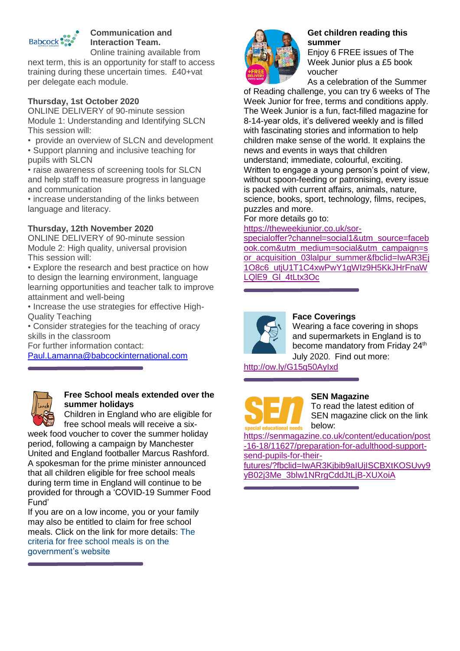

# **Communication and Interaction Team.**

Online training available from next term, this is an opportunity for staff to access training during these uncertain times. £40+vat per delegate each module.

### **Thursday, 1st October 2020**

ONLINE DELIVERY of 90-minute session Module 1: Understanding and Identifying SLCN This session will:

- provide an overview of SLCN and development
- Support planning and inclusive teaching for pupils with SLCN

• raise awareness of screening tools for SLCN and help staff to measure progress in language and communication

• increase understanding of the links between language and literacy.

#### **Thursday, 12th November 2020**

ONLINE DELIVERY of 90-minute session Module 2: High quality, universal provision This session will:

• Explore the research and best practice on how to design the learning environment, language learning opportunities and teacher talk to improve attainment and well-being

• Increase the use strategies for effective High-Quality Teaching

• Consider strategies for the teaching of oracy skills in the classroom

For further information contact:

[Paul.Lamanna@babcockinternational.com](mailto:Paul.Lamanna@babcockinternational.com)



#### **Free School meals extended over the summer holidays**

Children in England who are eligible for free school meals will receive a six-

week food voucher to cover the summer holiday period, following a campaign by Manchester United and England footballer Marcus Rashford. A spokesman for the prime minister announced that all children eligible for free school meals during term time in England will continue to be provided for through a 'COVID-19 Summer Food Fund'

If you are on a low income, you or your family may also be entitled to claim for free school meals. Click on the link for more details: [The](https://www.gov.uk/apply-free-school-meals)  [criteria for free school meals is on the](https://www.gov.uk/apply-free-school-meals)  [government's website](https://www.gov.uk/apply-free-school-meals)



#### **Get children reading this summer**

Enjoy 6 FREE issues of The Week Junior plus a £5 book voucher

As a celebration of the Summer

of Reading challenge, you can try 6 weeks of The Week Junior for free, terms and conditions apply. The Week Junior is a fun, fact-filled magazine for 8-14-year olds, it's delivered weekly and is filled with fascinating stories and information to help children make sense of the world. It explains the news and events in ways that children understand; immediate, colourful, exciting. Written to engage a young person's point of view, without spoon-feeding or patronising, every issue is packed with current affairs, animals, nature, science, books, sport, technology, films, recipes, puzzles and more.

For more details go to:

[https://theweekjunior.co.uk/sor-](https://theweekjunior.co.uk/sor-specialoffer?channel=social1&utm_source=facebook.com&utm_medium=social&utm_campaign=sor_acquisition_03lalpur_summer&fbclid=IwAR3Ej1O8c6_utjU1T1C4xwPwY1gWIz9H5KkJHrFnaWLQlE9_Gl_4tLtx3Oc)

[specialoffer?channel=social1&utm\\_source=faceb](https://theweekjunior.co.uk/sor-specialoffer?channel=social1&utm_source=facebook.com&utm_medium=social&utm_campaign=sor_acquisition_03lalpur_summer&fbclid=IwAR3Ej1O8c6_utjU1T1C4xwPwY1gWIz9H5KkJHrFnaWLQlE9_Gl_4tLtx3Oc) [ook.com&utm\\_medium=social&utm\\_campaign=s](https://theweekjunior.co.uk/sor-specialoffer?channel=social1&utm_source=facebook.com&utm_medium=social&utm_campaign=sor_acquisition_03lalpur_summer&fbclid=IwAR3Ej1O8c6_utjU1T1C4xwPwY1gWIz9H5KkJHrFnaWLQlE9_Gl_4tLtx3Oc) [or\\_acquisition\\_03lalpur\\_summer&fbclid=IwAR3Ej](https://theweekjunior.co.uk/sor-specialoffer?channel=social1&utm_source=facebook.com&utm_medium=social&utm_campaign=sor_acquisition_03lalpur_summer&fbclid=IwAR3Ej1O8c6_utjU1T1C4xwPwY1gWIz9H5KkJHrFnaWLQlE9_Gl_4tLtx3Oc) [1O8c6\\_utjU1T1C4xwPwY1gWIz9H5KkJHrFnaW](https://theweekjunior.co.uk/sor-specialoffer?channel=social1&utm_source=facebook.com&utm_medium=social&utm_campaign=sor_acquisition_03lalpur_summer&fbclid=IwAR3Ej1O8c6_utjU1T1C4xwPwY1gWIz9H5KkJHrFnaWLQlE9_Gl_4tLtx3Oc) LQIE9\_GI\_4tLtx3Oc



#### **Face Coverings**

Wearing a face covering in shops and supermarkets in England is to become mandatory from Friday 24<sup>th</sup> July 2020. Find out more:

<http://ow.ly/G15q50AyIxd>



#### **SEN Magazine**

To read the latest edition of SEN magazine click on the link below:

[https://senmagazine.co.uk/content/education/post](https://senmagazine.co.uk/content/education/post-16-18/11627/preparation-for-adulthood-support-send-pupils-for-their-futures/?fbclid=IwAR3Kjbib9aIUjISCBXtKOSUvy9yB02j3Me_3blw1NRrgCddJtLjB-XUXoiA) [-16-18/11627/preparation-for-adulthood-support](https://senmagazine.co.uk/content/education/post-16-18/11627/preparation-for-adulthood-support-send-pupils-for-their-futures/?fbclid=IwAR3Kjbib9aIUjISCBXtKOSUvy9yB02j3Me_3blw1NRrgCddJtLjB-XUXoiA)[send-pupils-for-their-](https://senmagazine.co.uk/content/education/post-16-18/11627/preparation-for-adulthood-support-send-pupils-for-their-futures/?fbclid=IwAR3Kjbib9aIUjISCBXtKOSUvy9yB02j3Me_3blw1NRrgCddJtLjB-XUXoiA)

[futures/?fbclid=IwAR3Kjbib9aIUjISCBXtKOSUvy9](https://senmagazine.co.uk/content/education/post-16-18/11627/preparation-for-adulthood-support-send-pupils-for-their-futures/?fbclid=IwAR3Kjbib9aIUjISCBXtKOSUvy9yB02j3Me_3blw1NRrgCddJtLjB-XUXoiA) [yB02j3Me\\_3blw1NRrgCddJtLjB-XUXoiA](https://senmagazine.co.uk/content/education/post-16-18/11627/preparation-for-adulthood-support-send-pupils-for-their-futures/?fbclid=IwAR3Kjbib9aIUjISCBXtKOSUvy9yB02j3Me_3blw1NRrgCddJtLjB-XUXoiA)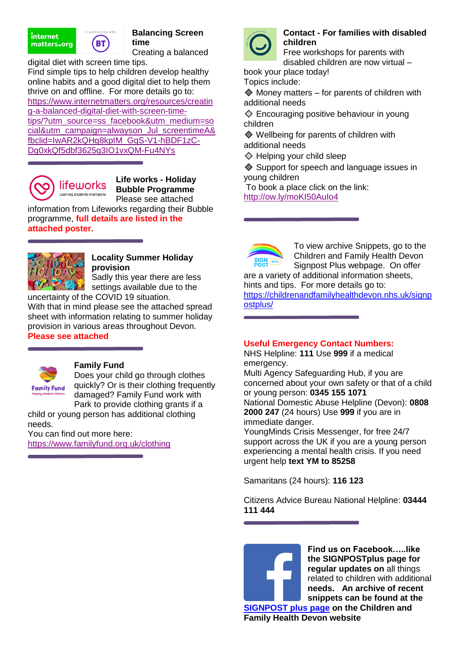



**Balancing Screen time**

Creating a balanced

digital diet with screen time tips. Find simple tips to help children develop healthy online habits and a good digital diet to help them thrive on and offline. For more details go to: [https://www.internetmatters.org/resources/creatin](https://www.internetmatters.org/resources/creating-a-balanced-digital-diet-with-screen-time-tips/?utm_source=ss_facebook&utm_medium=social&utm_campaign=alwayson_Jul_screentimeA&fbclid=IwAR2kQHg8kpIM_GqS-V1-hBDF1zC-Dg0xkQf5dbf3625q3IO1vxQM-Fu4NYs) [g-a-balanced-digital-diet-with-screen-time](https://www.internetmatters.org/resources/creating-a-balanced-digital-diet-with-screen-time-tips/?utm_source=ss_facebook&utm_medium=social&utm_campaign=alwayson_Jul_screentimeA&fbclid=IwAR2kQHg8kpIM_GqS-V1-hBDF1zC-Dg0xkQf5dbf3625q3IO1vxQM-Fu4NYs)[tips/?utm\\_source=ss\\_facebook&utm\\_medium=so](https://www.internetmatters.org/resources/creating-a-balanced-digital-diet-with-screen-time-tips/?utm_source=ss_facebook&utm_medium=social&utm_campaign=alwayson_Jul_screentimeA&fbclid=IwAR2kQHg8kpIM_GqS-V1-hBDF1zC-Dg0xkQf5dbf3625q3IO1vxQM-Fu4NYs) [cial&utm\\_campaign=alwayson\\_Jul\\_screentimeA&](https://www.internetmatters.org/resources/creating-a-balanced-digital-diet-with-screen-time-tips/?utm_source=ss_facebook&utm_medium=social&utm_campaign=alwayson_Jul_screentimeA&fbclid=IwAR2kQHg8kpIM_GqS-V1-hBDF1zC-Dg0xkQf5dbf3625q3IO1vxQM-Fu4NYs) [fbclid=IwAR2kQHg8kpIM\\_GqS-V1-hBDF1zC-](https://www.internetmatters.org/resources/creating-a-balanced-digital-diet-with-screen-time-tips/?utm_source=ss_facebook&utm_medium=social&utm_campaign=alwayson_Jul_screentimeA&fbclid=IwAR2kQHg8kpIM_GqS-V1-hBDF1zC-Dg0xkQf5dbf3625q3IO1vxQM-Fu4NYs)[Dg0xkQf5dbf3625q3IO1vxQM-Fu4NYs](https://www.internetmatters.org/resources/creating-a-balanced-digital-diet-with-screen-time-tips/?utm_source=ss_facebook&utm_medium=social&utm_campaign=alwayson_Jul_screentimeA&fbclid=IwAR2kQHg8kpIM_GqS-V1-hBDF1zC-Dg0xkQf5dbf3625q3IO1vxQM-Fu4NYs)



**Life works - Holiday Bubble Programme** Please see attached

information from Lifeworks regarding their Bubble programme, **full details are listed in the attached poster.**



#### **Locality Summer Holiday provision** Sadly this year there are less

settings available due to the

uncertainty of the COVID 19 situation. With that in mind please see the attached spread sheet with information relating to summer holiday provision in various areas throughout Devon. **Please see attached**



# **Family Fund**

Does your child go through clothes quickly? Or is their clothing frequently damaged? Family Fund work with Park to provide clothing grants if a

child or young person has additional clothing needs.

You can find out more here: <https://www.familyfund.org.uk/clothing>



#### **Contact - For families with disabled children**

Free workshops for parents with disabled children are now virtual –

book your place today! Topics include:

 $\textcircled{}$  Money matters – for parents of children with additional needs

 Encouraging positive behaviour in young children

**♦ Wellbeing for parents of children with** additional needs

**♦ Helping your child sleep** 

**♦ Support for speech and language issues in** young children

To book a place click on the link:

<http://ow.ly/moKI50AuIo4>



To view archive Snippets, go to the Children and Family Health Devon Signpost Plus webpage. On offer

are a variety of additional information sheets, hints and tips. For more details go to:

[https://childrenandfamilyhealthdevon.nhs.uk/signp](https://childrenandfamilyhealthdevon.nhs.uk/signpostplus/) [ostplus/](https://childrenandfamilyhealthdevon.nhs.uk/signpostplus/)

# **Useful Emergency Contact Numbers:**

NHS Helpline: **111** Use **999** if a medical emergency.

Multi Agency Safeguarding Hub, if you are concerned about your own safety or that of a child or young person: **0345 155 1071**  National Domestic Abuse Helpline (Devon): **0808 2000 247** (24 hours) Use **999** if you are in immediate danger.

YoungMinds Crisis Messenger, for free 24/7 support across the UK if you are a young person experiencing a mental health crisis. If you need urgent help **text YM to 85258**

Samaritans (24 hours): **116 123**

Citizens Advice Bureau National Helpline: **03444 111 444**

**Find us on Facebook…..like the SIGNPOSTplus page for regular updates on** all things related to children with additional **needs. An archive of recent snippets can be found at the [SIGNPOST plus page](https://childrenandfamilyhealthdevon.nhs.uk/signpostplus/) on the Children and Family Health Devon website**